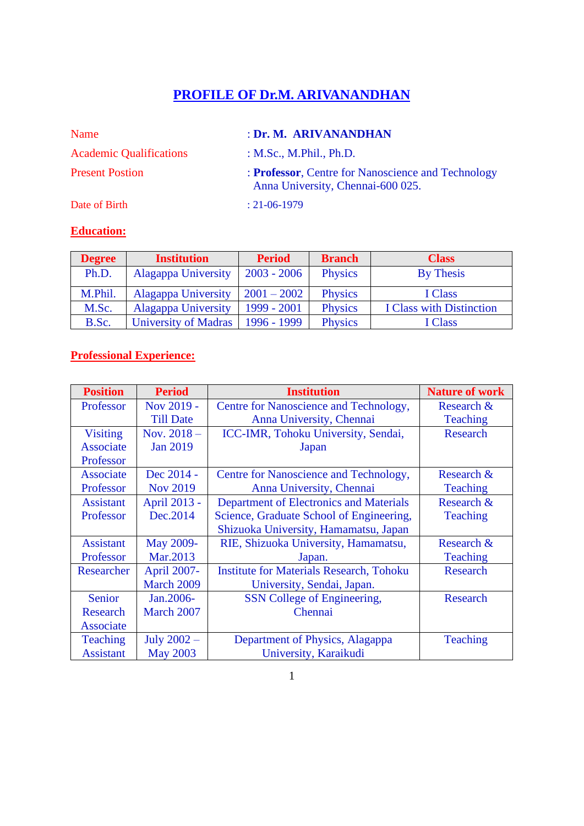# **PROFILE OF Dr.M. ARIVANANDHAN**

| Name                           | : Dr. M. ARIVANANDHAN                                                                   |
|--------------------------------|-----------------------------------------------------------------------------------------|
| <b>Academic Qualifications</b> | : $M.Sc., M.Phil., Ph.D.$                                                               |
| <b>Present Postion</b>         | : Professor, Centre for Nanoscience and Technology<br>Anna University, Chennai-600 025. |
| Date of Birth                  | $: 21 - 06 - 1979$                                                                      |

# **Education:**

| <b>Degree</b> | <b>Institution</b>         | <b>Period</b> | <b>Branch</b>  | <b>Class</b>                    |
|---------------|----------------------------|---------------|----------------|---------------------------------|
| Ph.D.         | <b>Alagappa University</b> | $2003 - 2006$ | <b>Physics</b> | By Thesis                       |
| M.Phil.       | <b>Alagappa University</b> | $2001 - 2002$ | <b>Physics</b> | I Class                         |
| M.Sc.         | <b>Alagappa University</b> | 1999 - 2001   | <b>Physics</b> | <b>I Class with Distinction</b> |
| B.Sc.         | University of Madras       | 1996 - 1999   | <b>Physics</b> | I Class                         |

## **Professional Experience:**

| <b>Position</b>  | <b>Period</b>    | <b>Institution</b>                              | <b>Nature of work</b> |  |
|------------------|------------------|-------------------------------------------------|-----------------------|--|
| Professor        | Nov 2019 -       | Centre for Nanoscience and Technology,          | Research &            |  |
|                  | <b>Till Date</b> | Anna University, Chennai                        | <b>Teaching</b>       |  |
| <b>Visiting</b>  | Nov. $2018 -$    | ICC-IMR, Tohoku University, Sendai,             | <b>Research</b>       |  |
| <b>Associate</b> | <b>Jan 2019</b>  | Japan                                           |                       |  |
| Professor        |                  |                                                 |                       |  |
| <b>Associate</b> | Dec 2014 -       | Centre for Nanoscience and Technology,          | Research &            |  |
| Professor        | <b>Nov 2019</b>  | Anna University, Chennai                        | <b>Teaching</b>       |  |
| <b>Assistant</b> | April 2013 -     | <b>Department of Electronics and Materials</b>  | Research &            |  |
| Professor        | Dec.2014         | Science, Graduate School of Engineering,        | <b>Teaching</b>       |  |
|                  |                  | Shizuoka University, Hamamatsu, Japan           |                       |  |
| <b>Assistant</b> | May 2009-        | RIE, Shizuoka University, Hamamatsu,            | Research &            |  |
| Professor        | Mar.2013         | Japan.                                          | <b>Teaching</b>       |  |
| Researcher       | April 2007-      | <b>Institute for Materials Research, Tohoku</b> | <b>Research</b>       |  |
|                  | March 2009       | University, Sendai, Japan.                      |                       |  |
| Senior           | Jan.2006-        | SSN College of Engineering,                     | <b>Research</b>       |  |
| <b>Research</b>  | March 2007       | Chennai                                         |                       |  |
| Associate        |                  |                                                 |                       |  |
| <b>Teaching</b>  | July $2002 -$    | Department of Physics, Alagappa                 | <b>Teaching</b>       |  |
| <b>Assistant</b> | <b>May 2003</b>  | University, Karaikudi                           |                       |  |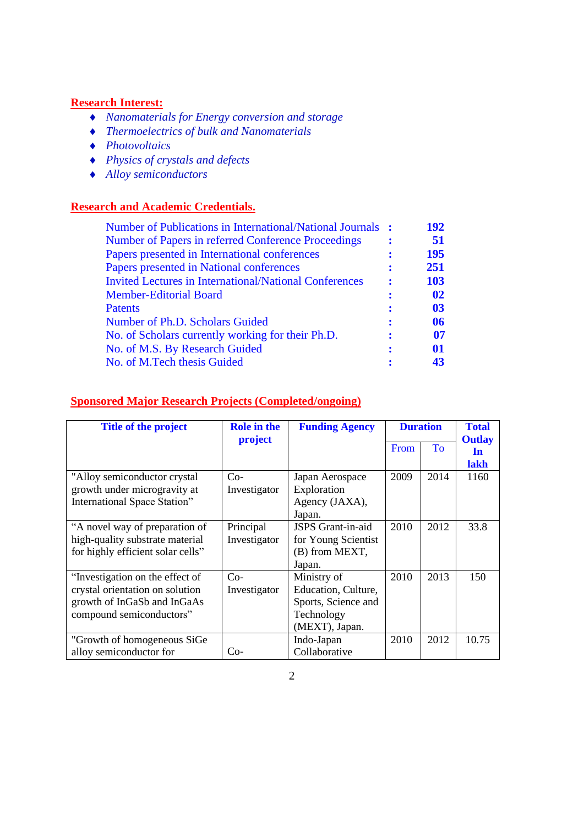#### **Research Interest:**

- *Nanomaterials for Energy conversion and storage*
- *Thermoelectrics of bulk and Nanomaterials*
- *Photovoltaics*
- *Physics of crystals and defects*
- *Alloy semiconductors*

#### **Research and Academic Credentials.**

| Number of Publications in International/National Journals :   | 192 |
|---------------------------------------------------------------|-----|
| Number of Papers in referred Conference Proceedings           | 51  |
| Papers presented in International conferences                 | 195 |
| Papers presented in National conferences                      | 251 |
| <b>Invited Lectures in International/National Conferences</b> | 103 |
| <b>Member-Editorial Board</b>                                 | 02  |
| <b>Patents</b>                                                | 03  |
| Number of Ph.D. Scholars Guided                               | 06  |
| No. of Scholars currently working for their Ph.D.             | 07  |
| No. of M.S. By Research Guided                                | 01  |
| No. of M.Tech thesis Guided                                   | 43  |
|                                                               |     |

#### **Title of the project Role in the project Funding Agency Duration Total Outlay In lakh** From To "Alloy semiconductor crystal growth under microgravity at International Space Station"  $\overline{Co}$ Investigator Japan Aerospace **Exploration** Agency (JAXA), Japan. 2009 2014 1160 "A novel way of preparation of high-quality substrate material for highly efficient solar cells" Principal Investigator JSPS Grant-in-aid for Young Scientist (B) from MEXT, Japan. 2010 2012 33.8 "Investigation on the effect of crystal orientation on solution growth of InGaSb and InGaAs compound semiconductors"  $Co-$ Investigator Ministry of Education, Culture, Sports, Science and Technology (MEXT), Japan. 2010 2013 150 "Growth of homogeneous SiGe alloy semiconductor for  $\qquad \qquad$  Co-Indo-Japan Collaborative 2010 2012 10.75

#### **Sponsored Major Research Projects (Completed/ongoing)**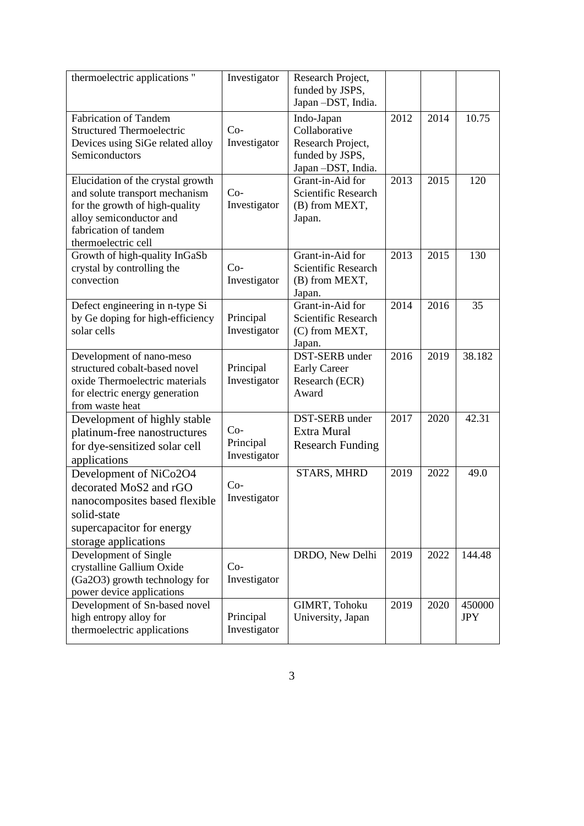| thermoelectric applications "                                                                                                                                                    | Investigator                       | Research Project,<br>funded by JSPS,<br>Japan-DST, India.                                |      |      |                      |
|----------------------------------------------------------------------------------------------------------------------------------------------------------------------------------|------------------------------------|------------------------------------------------------------------------------------------|------|------|----------------------|
| <b>Fabrication of Tandem</b><br><b>Structured Thermoelectric</b><br>Devices using SiGe related alloy<br>Semiconductors                                                           | $Co-$<br>Investigator              | Indo-Japan<br>Collaborative<br>Research Project,<br>funded by JSPS,<br>Japan-DST, India. | 2012 | 2014 | 10.75                |
| Elucidation of the crystal growth<br>and solute transport mechanism<br>for the growth of high-quality<br>alloy semiconductor and<br>fabrication of tandem<br>thermoelectric cell | $Co-$<br>Investigator              | Grant-in-Aid for<br>Scientific Research<br>(B) from MEXT,<br>Japan.                      | 2013 | 2015 | 120                  |
| Growth of high-quality InGaSb<br>crystal by controlling the<br>convection                                                                                                        | $Co-$<br>Investigator              | Grant-in-Aid for<br>Scientific Research<br>(B) from MEXT,<br>Japan.                      | 2013 | 2015 | 130                  |
| Defect engineering in n-type Si<br>by Ge doping for high-efficiency<br>solar cells                                                                                               | Principal<br>Investigator          | Grant-in-Aid for<br>Scientific Research<br>(C) from MEXT,<br>Japan.                      | 2014 | 2016 | 35                   |
| Development of nano-meso<br>structured cobalt-based novel<br>oxide Thermoelectric materials<br>for electric energy generation<br>from waste heat                                 | Principal<br>Investigator          | DST-SERB under<br><b>Early Career</b><br>Research (ECR)<br>Award                         | 2016 | 2019 | 38.182               |
| Development of highly stable<br>platinum-free nanostructures<br>for dye-sensitized solar cell<br>applications                                                                    | $Co-$<br>Principal<br>Investigator | DST-SERB under<br>Extra Mural<br><b>Research Funding</b>                                 | 2017 | 2020 | 42.31                |
| Development of NiCo2O4<br>decorated MoS2 and rGO<br>nanocomposites based flexible<br>solid-state<br>supercapacitor for energy<br>storage applications                            | $Co-$<br>Investigator              | <b>STARS, MHRD</b>                                                                       | 2019 | 2022 | 49.0                 |
| Development of Single<br>crystalline Gallium Oxide<br>(Ga2O3) growth technology for<br>power device applications                                                                 | $Co-$<br>Investigator              | DRDO, New Delhi                                                                          | 2019 | 2022 | 144.48               |
| Development of Sn-based novel<br>high entropy alloy for<br>thermoelectric applications                                                                                           | Principal<br>Investigator          | GIMRT, Tohoku<br>University, Japan                                                       | 2019 | 2020 | 450000<br><b>JPY</b> |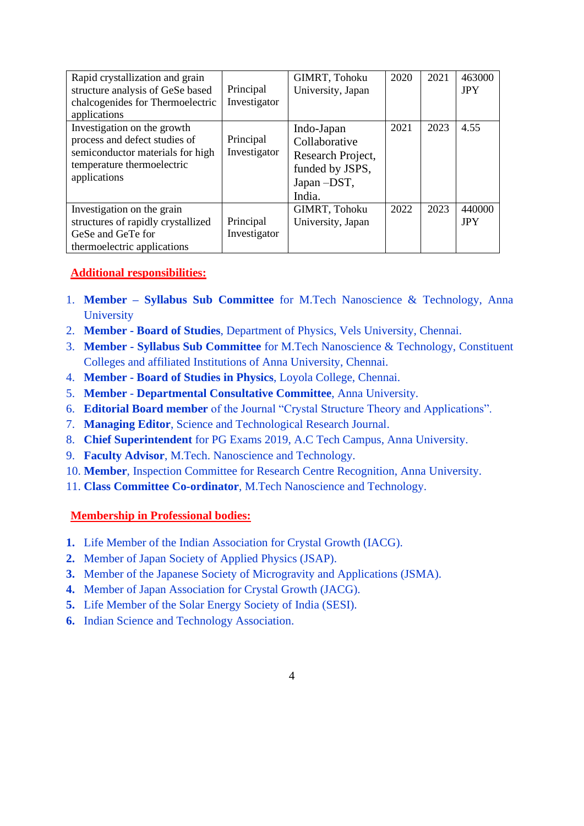| Rapid crystallization and grain<br>structure analysis of GeSe based<br>chalcogenides for Thermoelectric<br>applications                        | Principal<br>Investigator | GIMRT, Tohoku<br>University, Japan                                                            | 2020 | 2021 | 463000<br><b>JPY</b> |
|------------------------------------------------------------------------------------------------------------------------------------------------|---------------------------|-----------------------------------------------------------------------------------------------|------|------|----------------------|
| Investigation on the growth<br>process and defect studies of<br>semiconductor materials for high<br>temperature thermoelectric<br>applications | Principal<br>Investigator | Indo-Japan<br>Collaborative<br>Research Project,<br>funded by JSPS,<br>Japan - DST,<br>India. | 2021 | 2023 | 4.55                 |
| Investigation on the grain<br>structures of rapidly crystallized<br>GeSe and GeTe for<br>thermoelectric applications                           | Principal<br>Investigator | GIMRT, Tohoku<br>University, Japan                                                            | 2022 | 2023 | 440000<br><b>JPY</b> |

### **Additional responsibilities:**

- 1. **Member – Syllabus Sub Committee** for M.Tech Nanoscience & Technology, Anna **University**
- 2. **Member - Board of Studies**, Department of Physics, Vels University, Chennai.
- 3. **Member - Syllabus Sub Committee** for M.Tech Nanoscience & Technology, Constituent Colleges and affiliated Institutions of Anna University, Chennai.
- 4. **Member - Board of Studies in Physics**, Loyola College, Chennai.
- 5. **Member Departmental Consultative Committee**, Anna University.
- 6. **Editorial Board member** of the Journal "Crystal Structure Theory and Applications".
- 7. **Managing Editor**, Science and Technological Research Journal.
- 8. **Chief Superintendent** for PG Exams 2019, A.C Tech Campus, Anna University.
- 9. **Faculty Advisor**, M.Tech. Nanoscience and Technology.
- 10. **Member**, Inspection Committee for Research Centre Recognition, Anna University.
- 11. **Class Committee Co-ordinator**, M.Tech Nanoscience and Technology.

#### **Membership in Professional bodies:**

- **1.** Life Member of the Indian Association for Crystal Growth (IACG).
- **2.** Member of Japan Society of Applied Physics (JSAP).
- **3.** Member of the Japanese Society of Microgravity and Applications (JSMA).
- **4.** Member of Japan Association for Crystal Growth (JACG).
- **5.** Life Member of the Solar Energy Society of India (SESI).
- **6.** Indian Science and Technology Association.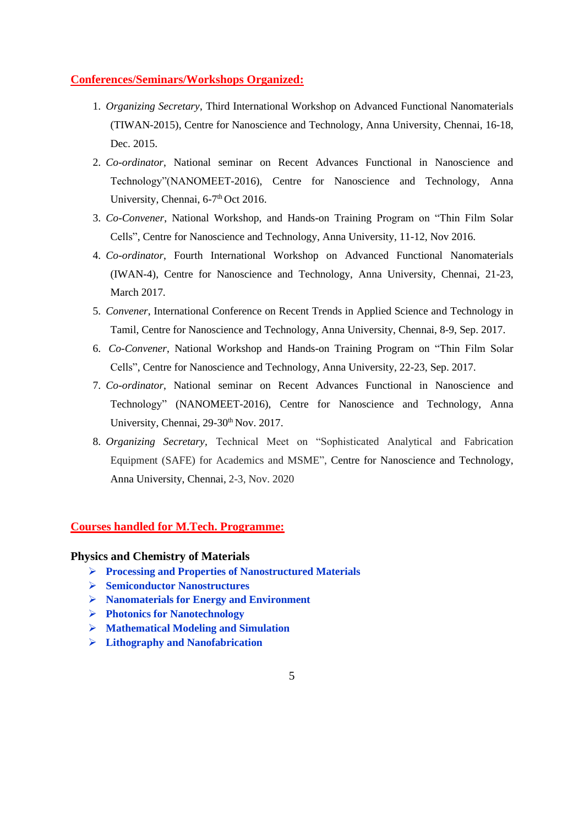#### **Conferences/Seminars/Workshops Organized:**

- 1. *Organizing Secretary*, Third International Workshop on Advanced Functional Nanomaterials (TIWAN-2015), Centre for Nanoscience and Technology, Anna University, Chennai, 16-18, Dec. 2015.
- 2. *Co-ordinator*, National seminar on Recent Advances Functional in Nanoscience and Technology"(NANOMEET-2016), Centre for Nanoscience and Technology, Anna University, Chennai, 6-7<sup>th</sup> Oct 2016.
- 3. *Co-Convener*, National Workshop, and Hands-on Training Program on "Thin Film Solar Cells", Centre for Nanoscience and Technology, Anna University, 11-12, Nov 2016.
- 4. *Co-ordinator*, Fourth International Workshop on Advanced Functional Nanomaterials (IWAN-4), Centre for Nanoscience and Technology, Anna University, Chennai, 21-23, March 2017.
- 5. *Convener*, International Conference on Recent Trends in Applied Science and Technology in Tamil, Centre for Nanoscience and Technology, Anna University, Chennai, 8-9, Sep. 2017.
- 6. *Co-Convener*, National Workshop and Hands-on Training Program on "Thin Film Solar Cells", Centre for Nanoscience and Technology, Anna University, 22-23, Sep. 2017.
- 7. *Co-ordinator*, National seminar on Recent Advances Functional in Nanoscience and Technology" (NANOMEET-2016), Centre for Nanoscience and Technology, Anna University, Chennai, 29-30<sup>th</sup> Nov. 2017.
- 8. *Organizing Secretary,* Technical Meet on "Sophisticated Analytical and Fabrication Equipment (SAFE) for Academics and MSME", Centre for Nanoscience and Technology, Anna University, Chennai, 2-3, Nov. 2020

#### **Courses handled for M.Tech. Programme:**

#### **Physics and Chemistry of Materials**

- ➢ **Processing and Properties of Nanostructured Materials**
- ➢ **Semiconductor Nanostructures**
- ➢ **Nanomaterials for Energy and Environment**
- ➢ **Photonics for Nanotechnology**
- ➢ **Mathematical Modeling and Simulation**
- ➢ **Lithography and Nanofabrication**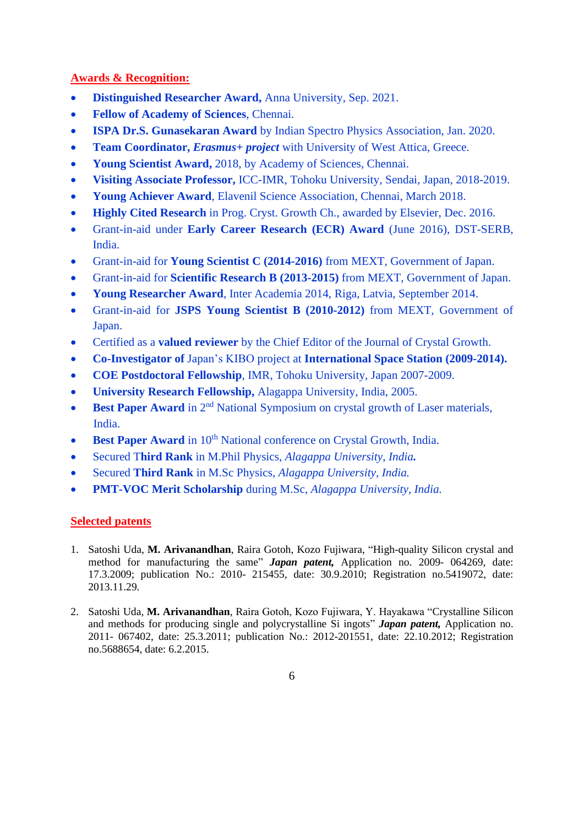#### **Awards & Recognition:**

- **Distinguished Researcher Award,** Anna University, Sep. 2021.
- **Fellow of Academy of Sciences**, Chennai.
- **ISPA Dr.S. Gunasekaran Award** by Indian Spectro Physics Association, Jan. 2020.
- **Team Coordinator,** *Erasmus+ project* with University of West Attica, Greece.
- **Young Scientist Award,** 2018, by Academy of Sciences, Chennai.
- **Visiting Associate Professor,** ICC-IMR, Tohoku University, Sendai, Japan, 2018-2019.
- **Young Achiever Award**, Elavenil Science Association, Chennai, March 2018.
- **Highly Cited Research** in Prog. Cryst. Growth Ch., awarded by Elsevier, Dec. 2016.
- Grant-in-aid under **Early Career Research (ECR) Award** (June 2016), DST-SERB, India.
- Grant-in-aid for **Young Scientist C (2014-2016)** from MEXT, Government of Japan.
- Grant-in-aid for **Scientific Research B (2013-2015)** from MEXT, Government of Japan.
- **Young Researcher Award**, Inter Academia 2014, Riga, Latvia, September 2014.
- Grant-in-aid for **JSPS Young Scientist B (2010-2012)** from MEXT, Government of Japan.
- Certified as a **valued reviewer** by the Chief Editor of the Journal of Crystal Growth.
- **Co-Investigator of** Japan's KIBO project at **International Space Station (2009-2014).**
- **COE Postdoctoral Fellowship**, IMR, Tohoku University, Japan 2007-2009.
- **University Research Fellowship,** Alagappa University, India, 2005.
- **Best Paper Award** in 2<sup>nd</sup> National Symposium on crystal growth of Laser materials, India.
- **Best Paper Award** in 10<sup>th</sup> National conference on Crystal Growth, India.
- Secured T**hird Rank** in M.Phil Physics, *Alagappa University, India.*
- Secured **Third Rank** in M.Sc Physics, *Alagappa University, India.*
- **PMT-VOC Merit Scholarship** during M.Sc, *Alagappa University, India.*

#### **Selected patents**

- 1. Satoshi Uda, **M. Arivanandhan**, Raira Gotoh, Kozo Fujiwara, "High-quality Silicon crystal and method for manufacturing the same" *Japan patent,* Application no. 2009- 064269, date: 17.3.2009; publication No.: 2010- 215455, date: 30.9.2010; Registration no.5419072, date: 2013.11.29.
- 2. Satoshi Uda, **M. Arivanandhan**, Raira Gotoh, Kozo Fujiwara, Y. Hayakawa "Crystalline Silicon and methods for producing single and polycrystalline Si ingots" *Japan patent,* Application no. 2011- 067402, date: 25.3.2011; publication No.: 2012-201551, date: 22.10.2012; Registration no.5688654, date: 6.2.2015.